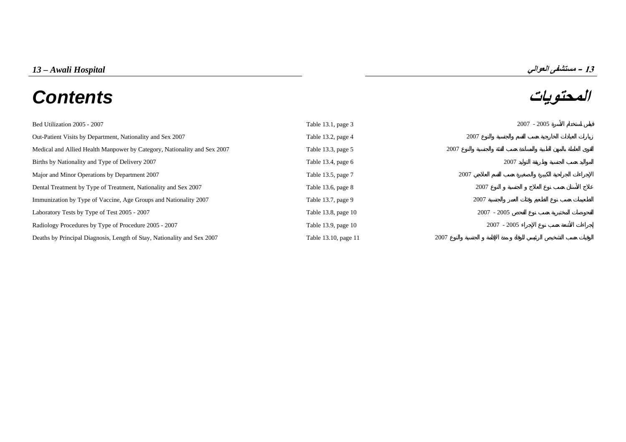# **المحتويات** *Contents*



| Bed Utilization 2005 - 2007                                              | Table 13.1, page 3   | $2007 - 2005$ |
|--------------------------------------------------------------------------|----------------------|---------------|
| Out-Patient Visits by Department, Nationality and Sex 2007               | Table 13.2, page 4   | 2007          |
| Medical and Allied Health Manpower by Category, Nationality and Sex 2007 | Table 13.3, page 5   | 2007          |
| Births by Nationality and Type of Delivery 2007                          | Table 13.4, page 6   | 2007          |
| Major and Minor Operations by Department 2007                            | Table 13.5, page 7   | 2007          |
| Dental Treatment by Type of Treatment, Nationality and Sex 2007          | Table 13.6, page 8   | 2007          |
| Immunization by Type of Vaccine, Age Groups and Nationality 2007         | Table 13.7, page 9   | 2007          |
| Laboratory Tests by Type of Test 2005 - 2007                             | Table 13.8, page 10  | $2007 - 2005$ |
| Radiology Procedures by Type of Procedure 2005 - 2007                    | Table 13.9, page 10  | $2007 - 2005$ |
| Deaths by Principal Diagnosis, Length of Stay, Nationality and Sex 2007  | Table 13.10, page 11 | 2007          |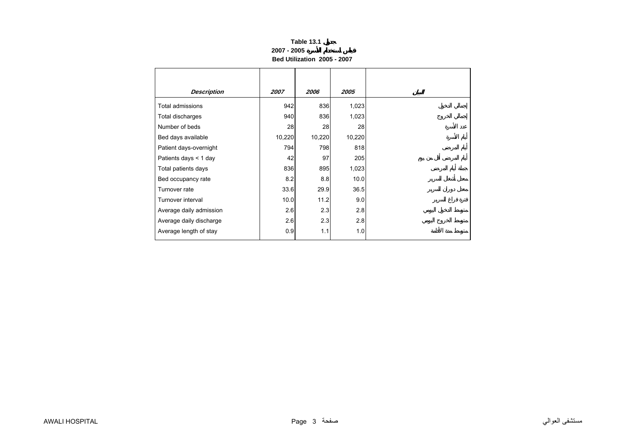## **Table 13.1 2007 - 2005Bed Utilization 2005 - 2007**

<span id="page-1-0"></span>

| <b>Description</b>      | 2007   | 2006   | 2005   |
|-------------------------|--------|--------|--------|
| Total admissions        | 942    | 836    | 1,023  |
| Total discharges        | 940    | 836    | 1,023  |
| Number of beds          | 28     | 28     | 28     |
| Bed days available      | 10,220 | 10,220 | 10,220 |
| Patient days-overnight  | 794    | 798    | 818    |
| Patients days $<$ 1 day | 42     | 97     | 205    |
| Total patients days     | 836    | 895    | 1,023  |
| Bed occupancy rate      | 8.2    | 8.8    | 10.0   |
| Turnover rate           | 33.6   | 29.9   | 36.5   |
| Turnover interval       | 10.0   | 11.2   | 9.0    |
| Average daily admission | 2.6    | 2.3    | 2.8    |
| Average daily discharge | 2.6    | 2.3    | 2.8    |
| Average length of stay  | 0.9    | 1.1    | 1.0    |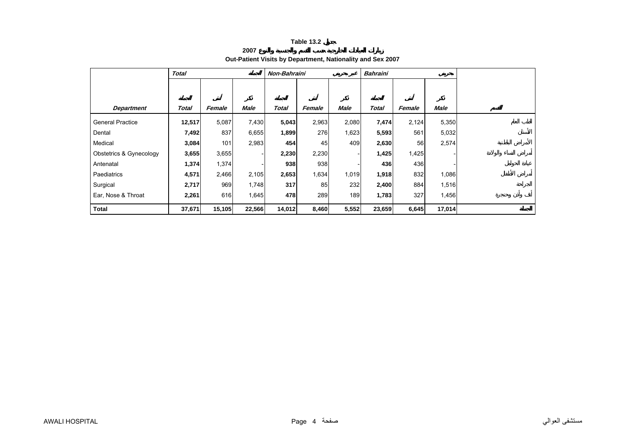**2007**

## **Out-Patient Visits by Department, Nationality and Sex 2007**

<span id="page-2-0"></span>

|                         | <b>Total</b> |        |        | Non-Bahraini |        |             | <b>Bahraini</b> |        |             |  |
|-------------------------|--------------|--------|--------|--------------|--------|-------------|-----------------|--------|-------------|--|
|                         |              |        |        |              |        |             |                 |        |             |  |
|                         |              |        |        |              |        |             |                 |        |             |  |
| <b>Department</b>       | <b>Total</b> | Female | Male   | <b>Total</b> | Female | <b>Male</b> | <b>Total</b>    | Female | <b>Male</b> |  |
| <b>General Practice</b> | 12,517       | 5,087  | 7,430  | 5,043        | 2,963  | 2,080       | 7,474           | 2,124  | 5,350       |  |
| Dental                  | 7,492        | 837    | 6,655  | 1,899        | 276    | 1,623       | 5,593           | 561    | 5,032       |  |
| Medical                 | 3,084        | 101    | 2,983  | 454          | 45     | 409         | 2,630           | 56     | 2,574       |  |
| Obstetrics & Gynecology | 3,655        | 3,655  |        | 2,230        | 2,230  |             | 1,425           | 1,425  |             |  |
| Antenatal               | 1,374        | 1,374  |        | 938          | 938    |             | 436             | 436    |             |  |
| Paediatrics             | 4,571        | 2,466  | 2,105  | 2,653        | 1,634  | 1,019       | 1,918           | 832    | 1,086       |  |
| Surgical                | 2,717        | 969    | 1,748  | 317          | 85     | 232         | 2,400           | 884    | 1,516       |  |
| Ear, Nose & Throat      | 2,261        | 616    | 1,645  | 478          | 289    | 189         | 1,783           | 327    | 1,456       |  |
| <b>Total</b>            | 37,671       | 15,105 | 22,566 | 14,012       | 8,460  | 5,552       | 23,659          | 6,645  | 17,014      |  |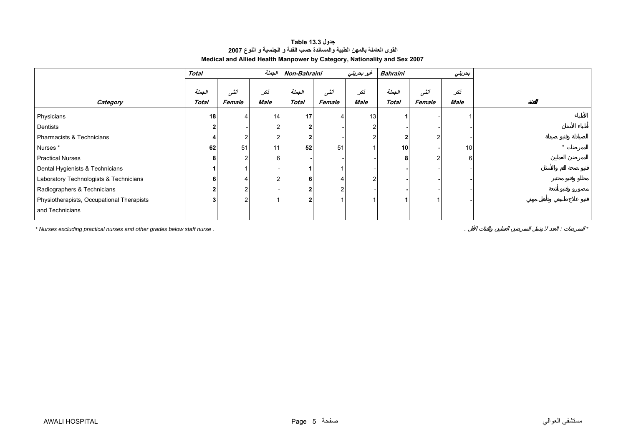<span id="page-3-0"></span>

|                                           | الجعلة<br><b>Total</b> |        | Non-Bahraini |              | غير بحريني | Bahraini |                 | بعريني |      |
|-------------------------------------------|------------------------|--------|--------------|--------------|------------|----------|-----------------|--------|------|
|                                           |                        |        |              |              |            |          |                 |        |      |
|                                           | الجملة                 | أنشى   | تكر          | الجملة       | أننسى      | نكر      | الجملة          | أننسى  | نكر  |
| Category                                  | Total                  | Female | Male         | <b>Total</b> | Female     | Male     | <b>Total</b>    | Female | Male |
| Physicians                                | 18                     |        | 14           | 17           |            | 13       |                 |        |      |
| Dentists                                  |                        |        |              |              |            |          |                 |        |      |
| Pharmacists & Technicians                 |                        | $\sim$ | 2            |              |            |          |                 |        |      |
| Nurses*                                   | 62                     | 51     | 11           | 52           | 51         |          | 10 <sup>1</sup> |        | 10   |
| <b>Practical Nurses</b>                   |                        | ົ      | 6            |              |            |          |                 |        | 6    |
| Dental Hygienists & Technicians           |                        |        |              |              |            |          |                 |        |      |
| Laboratory Technologists & Technicians    |                        |        | 2            | 6            |            |          |                 |        |      |
| Radiographers & Technicians               |                        | ົ      |              |              |            |          |                 |        |      |
| Physiotherapists, Occupational Therapists |                        | ົ      |              |              |            |          |                 |        |      |
| and Technicians                           |                        |        |              |              |            |          |                 |        |      |

## **جدول 13.3 Table القوى العاملة بالمهن الطبية والمساندة حسب الفئة <sup>و</sup> الجنسية <sup>و</sup> النوع <sup>2007</sup> Medical and Allied Health Manpower by Category, Nationality and Sex 2007**

*\* Nurses excluding practical nurses and other grades below staff nurse .* . : *\**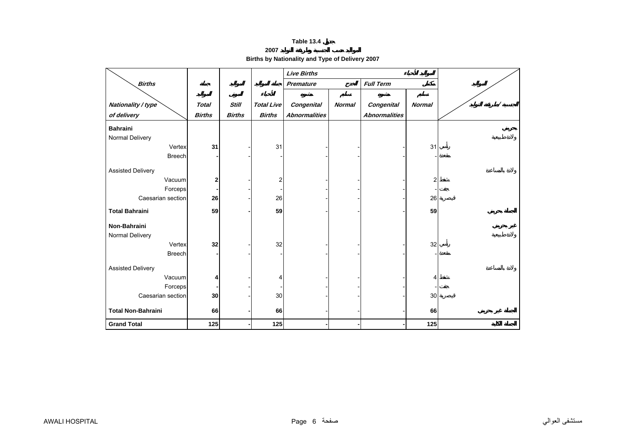**2007 Births by Nationality and Type of Delivery 2007** 

<span id="page-4-0"></span>

|                           |               |               |                   | <b>Live Births</b>   |               |                      |                |   |
|---------------------------|---------------|---------------|-------------------|----------------------|---------------|----------------------|----------------|---|
| <b>Births</b>             |               |               |                   | Premature            |               | <b>Full Term</b>     |                |   |
|                           |               |               |                   |                      |               |                      |                |   |
| Nationality / type        | <b>Total</b>  | <b>Still</b>  | <b>Total Live</b> | <b>Congenital</b>    | <b>Normal</b> | Congenital           | <b>Normal</b>  | Ϊ |
| of delivery               | <b>Births</b> | <b>Births</b> | <b>Births</b>     | <b>Abnormalities</b> |               | <b>Abnormalities</b> |                |   |
| <b>Bahraini</b>           |               |               |                   |                      |               |                      |                |   |
| Normal Delivery           |               |               |                   |                      |               |                      |                |   |
| Vertex                    | 31            |               | 31                |                      |               |                      | 31             |   |
| <b>Breech</b>             |               |               |                   |                      |               |                      |                |   |
| <b>Assisted Delivery</b>  |               |               |                   |                      |               |                      |                |   |
| Vacuum                    | 2             |               | 2                 |                      |               |                      | $\overline{c}$ |   |
| Forceps                   |               |               |                   |                      |               |                      |                |   |
| Caesarian section         | 26            |               | 26                |                      |               |                      | 26             |   |
| <b>Total Bahraini</b>     | 59            |               | 59                |                      |               |                      | 59             |   |
|                           |               |               |                   |                      |               |                      |                |   |
| Non-Bahraini              |               |               |                   |                      |               |                      |                |   |
| Normal Delivery           |               |               |                   |                      |               |                      |                |   |
| Vertex                    | 32            |               | 32                |                      |               |                      | 32             |   |
| <b>Breech</b>             |               |               |                   |                      |               |                      |                |   |
| <b>Assisted Delivery</b>  |               |               |                   |                      |               |                      |                |   |
| Vacuum                    | 4             |               | 4                 |                      |               |                      | 4              |   |
| Forceps                   |               |               |                   |                      |               |                      |                |   |
| Caesarian section         | 30            |               | 30                |                      |               |                      | 30             |   |
|                           |               |               |                   |                      |               |                      |                |   |
| <b>Total Non-Bahraini</b> | 66            |               | 66                |                      |               |                      | 66             |   |
| <b>Grand Total</b>        | 125           |               | 125               |                      |               |                      | 125            |   |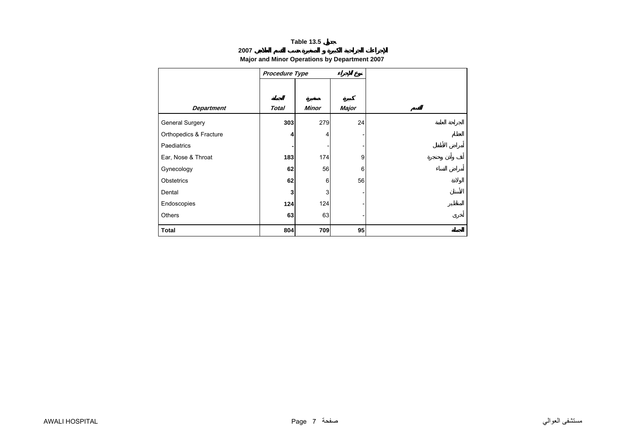## **2007**

## **Major and Minor Operations by Department 2007**

<span id="page-5-0"></span>

|                        | Procedure Type |              |       |
|------------------------|----------------|--------------|-------|
|                        |                |              |       |
|                        |                |              |       |
| <b>Department</b>      | <b>Total</b>   | <b>Minor</b> | Major |
| General Surgery        | 303            | 279          | 24    |
| Orthopedics & Fracture | 4              | 4            |       |
| Paediatrics            |                |              |       |
| Ear, Nose & Throat     | 183            | 174          | 9     |
| Gynecology             | 62             | 56           | 6     |
| Obstetrics             | 62             | 6            | 56    |
| Dental                 | 3              | 3            |       |
| Endoscopies            | 124            | 124          |       |
| Others                 | 63             | 63           |       |
| <b>Total</b>           | 804            | 709          | 95    |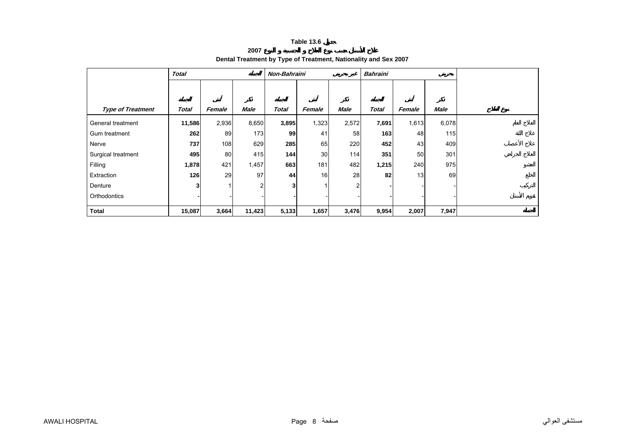**2007**

## **Dental Treatment by Type of Treatment, Nationality and Sex 2007**

<span id="page-6-0"></span>

|                          | <b>Total</b> |        |             |              | <b>Bahraini</b><br>Non-Bahraini |       |              |        |             |  |
|--------------------------|--------------|--------|-------------|--------------|---------------------------------|-------|--------------|--------|-------------|--|
|                          |              |        |             |              |                                 |       |              |        |             |  |
|                          |              |        |             |              |                                 |       |              |        |             |  |
| <b>Type of Treatment</b> | Total        | Female | <b>Male</b> | <b>Total</b> | Female                          | Male  | <b>Total</b> | Female | <b>Male</b> |  |
| General treatment        | 11,586       | 2,936  | 8,650       | 3,895        | 1,323                           | 2,572 | 7,691        | 1,613  | 6,078       |  |
| Gum treatment            | 262          | 89     | 173         | 99           | 41                              | 58    | 163          | 48     | 115         |  |
| Nerve                    | 737          | 108    | 629         | 285          | 65                              | 220   | 452          | 43     | 409         |  |
| Surgical treatment       | 495          | 80     | 415         | 144          | 30                              | 114   | 351          | 50     | 301         |  |
| Filling                  | 1,878        | 421    | 1,457       | 663          | 181                             | 482   | 1,215        | 240    | 975         |  |
| Extraction               | 126          | 29     | 97          | 44           | 16                              | 28    | 82           | 13     | 69          |  |
| Denture                  | 3            |        | 2           | 3            |                                 | 2     |              |        |             |  |
| Orthodontics             |              |        |             |              |                                 |       |              |        |             |  |
| <b>Total</b>             | 15,087       | 3,664  | 11,423      | 5,133        | 1,657                           | 3,476 | 9,954        | 2,007  | 7,947       |  |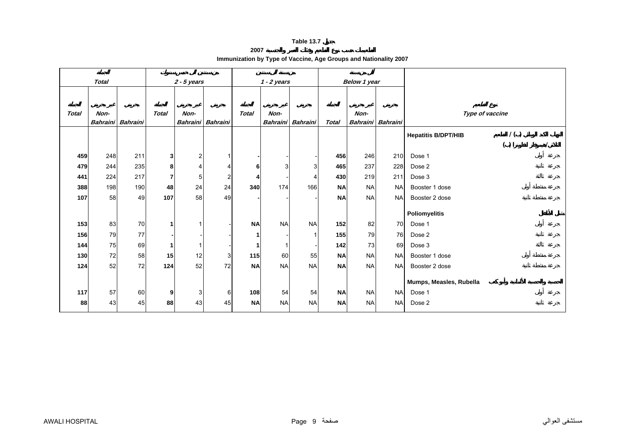#### **2007**

**Immunization by Type of Vaccine, Age Groups and Nationality 2007** 

<span id="page-7-0"></span>

|              | <b>Total</b>            |                 |                | $2 - 5$ years           |                         |              | $1 - 2$ years |                   |              | Below 1 year            |                 |                                   |  |
|--------------|-------------------------|-----------------|----------------|-------------------------|-------------------------|--------------|---------------|-------------------|--------------|-------------------------|-----------------|-----------------------------------|--|
|              |                         |                 |                |                         |                         |              |               |                   |              |                         |                 |                                   |  |
| <b>Total</b> | Non-<br><b>Bahraini</b> | <b>Bahraini</b> | <b>Total</b>   | Non-<br><b>Bahraini</b> | Bahraini                | <b>Total</b> | Non-          | Bahraini Bahraini | <b>Total</b> | Non-<br><b>Bahraini</b> | <b>Bahraini</b> | Type of vaccine                   |  |
|              |                         |                 |                |                         |                         |              |               |                   |              |                         |                 | 1()<br><b>Hepatitis B/DPT/HIB</b> |  |
|              |                         |                 |                |                         |                         |              |               |                   |              |                         |                 | ( )                               |  |
| 459          | 248                     | 211             | 3              | $\overline{2}$          | 1                       |              |               |                   | 456          | 246                     | 210             | Dose 1                            |  |
| 479          | 244                     | 235             | 8              |                         | 4                       | 6            | 3             | 3                 | 465          | 237                     | 228             | Dose 2                            |  |
| 441          | 224                     | 217             | $\overline{7}$ | 5                       | $\overline{\mathbf{c}}$ | Δ            |               |                   | 430          | 219                     | 211             | Dose 3                            |  |
| 388          | 198                     | 190             | 48             | 24                      | 24                      | 340          | 174           | 166               | <b>NA</b>    | <b>NA</b>               | <b>NA</b>       | Booster 1 dose                    |  |
| 107          | 58                      | 49              | 107            | 58                      | 49                      |              |               |                   | <b>NA</b>    | <b>NA</b>               | <b>NA</b>       | Booster 2 dose                    |  |
|              |                         |                 |                |                         |                         |              |               |                   |              |                         |                 | Poliomyelitis                     |  |
| 153          | 83                      | 70              | 1              |                         |                         | <b>NA</b>    | <b>NA</b>     | <b>NA</b>         | 152          | 82                      | 70              | Dose 1                            |  |
| 156          | 79                      | 77              |                |                         |                         |              |               |                   | 155          | 79                      | 76              | Dose 2                            |  |
| 144          | 75                      | 69              | 1              |                         |                         |              |               |                   | 142          | 73                      | 69              | Dose 3                            |  |
| 130          | 72                      | 58              | 15             | 12                      | 3                       | 115          | 60            | 55                | <b>NA</b>    | <b>NA</b>               | <b>NA</b>       | Booster 1 dose                    |  |
| 124          | 52                      | 72              | 124            | 52                      | 72                      | <b>NA</b>    | <b>NA</b>     | <b>NA</b>         | <b>NA</b>    | <b>NA</b>               | <b>NA</b>       | Booster 2 dose                    |  |
|              |                         |                 |                |                         |                         |              |               |                   |              |                         |                 |                                   |  |
|              |                         |                 |                |                         |                         |              |               |                   |              |                         |                 | Mumps, Measles, Rubella           |  |
| 117          | 57                      | 60              | 9              | 3                       | 6                       | 108          | 54            | 54                | <b>NA</b>    | <b>NA</b>               | <b>NA</b>       | Dose 1                            |  |
| 88           | 43                      | 45              | 88             | 43                      | 45                      | <b>NA</b>    | <b>NA</b>     | <b>NA</b>         | <b>NA</b>    | <b>NA</b>               | <b>NA</b>       | Dose 2                            |  |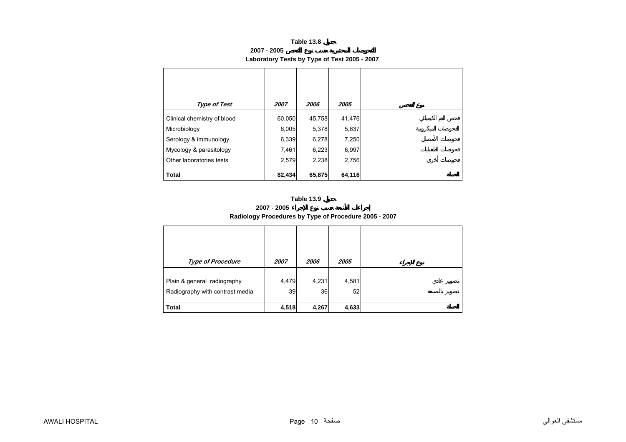**2007 - 2005**

# **Laboratory Tests by Type of Test 2005 - 2007**

<span id="page-8-0"></span>

| <b>Type of Test</b>         | 2007   | 2006   | 2005   |
|-----------------------------|--------|--------|--------|
| Clinical chemistry of blood | 60,050 | 45,758 | 41,476 |
| Microbiology                | 6,005  | 5,378  | 5,637  |
| Serology & immunology       | 6,339  | 6,278  | 7,250  |
| Mycology & parasitology     | 7,461  | 6,223  | 6,997  |
| Other laboratories tests    | 2,579  | 2,238  | 2,756  |
| <b>Total</b>                | 82,434 | 65,875 | 64,116 |

## **Table 13.9**

**2007 - 2005**

## **Radiology Procedures by Type of Procedure 2005 - 2007**

| <b>Type of Procedure</b>        | 2007  | 2006  | 2005  |
|---------------------------------|-------|-------|-------|
| Plain & general radiography     | 4,479 | 4,231 | 4,581 |
| Radiography with contrast media | 39    | 36    | 52    |
| <b>Total</b>                    | 4,518 | 4,267 | 4,633 |